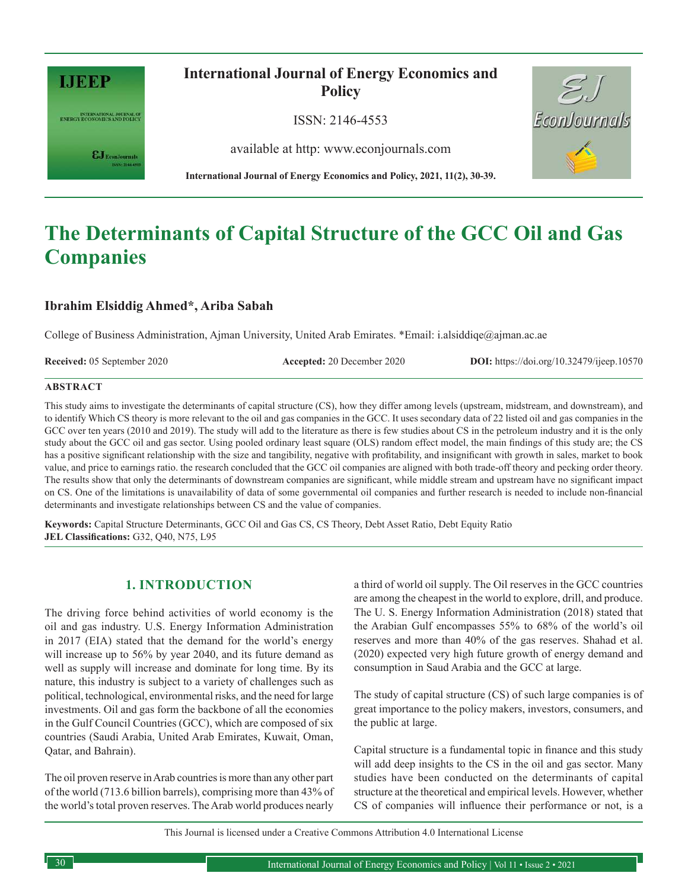

INTERNATIONAL JOURNAL OF ENERGY ECONOMICS AND POLICY

 $\epsilon$ J Econ Journals

# **International Journal of Energy Economics and Policy**

ISSN: 2146-4553

available at http: www.econjournals.com



# **The Determinants of Capital Structure of the GCC Oil and Gas Companies**

# **Ibrahim Elsiddig Ahmed\*, Ariba Sabah**

College of Business Administration, Ajman University, United Arab Emirates. \*Email: i.alsiddiqe@ajman.ac.ae

**Received:** 05 September 2020 **Accepted:** 20 December 2020 **DOI:** https://doi.org/10.32479/ijeep.10570

EconJournals

#### **ABSTRACT**

This study aims to investigate the determinants of capital structure (CS), how they differ among levels (upstream, midstream, and downstream), and to identify Which CS theory is more relevant to the oil and gas companies in the GCC. It uses secondary data of 22 listed oil and gas companies in the GCC over ten years (2010 and 2019). The study will add to the literature as there is few studies about CS in the petroleum industry and it is the only study about the GCC oil and gas sector. Using pooled ordinary least square (OLS) random effect model, the main findings of this study are; the CS has a positive significant relationship with the size and tangibility, negative with profitability, and insignificant with growth in sales, market to book value, and price to earnings ratio. the research concluded that the GCC oil companies are aligned with both trade-off theory and pecking order theory. The results show that only the determinants of downstream companies are significant, while middle stream and upstream have no significant impact on CS. One of the limitations is unavailability of data of some governmental oil companies and further research is needed to include non-financial determinants and investigate relationships between CS and the value of companies.

**Keywords:** Capital Structure Determinants, GCC Oil and Gas CS, CS Theory, Debt Asset Ratio, Debt Equity Ratio **JEL Classifications:** G32, Q40, N75, L95

## **1. INTRODUCTION**

The driving force behind activities of world economy is the oil and gas industry. U.S. Energy Information Administration in 2017 (EIA) stated that the demand for the world's energy will increase up to 56% by year 2040, and its future demand as well as supply will increase and dominate for long time. By its nature, this industry is subject to a variety of challenges such as political, technological, environmental risks, and the need for large investments. Oil and gas form the backbone of all the economies in the Gulf Council Countries (GCC), which are composed of six countries (Saudi Arabia, United Arab Emirates, Kuwait, Oman, Qatar, and Bahrain).

The oil proven reserve in Arab countries is more than any other part of the world (713.6 billion barrels), comprising more than 43% of the world's total proven reserves. The Arab world produces nearly

a third of world oil supply. The Oil reserves in the GCC countries are among the cheapest in the world to explore, drill, and produce. The U. S. Energy Information Administration (2018) stated that the Arabian Gulf encompasses 55% to 68% of the world's oil reserves and more than 40% of the gas reserves. Shahad et al. (2020) expected very high future growth of energy demand and consumption in Saud Arabia and the GCC at large.

The study of capital structure (CS) of such large companies is of great importance to the policy makers, investors, consumers, and the public at large.

Capital structure is a fundamental topic in finance and this study will add deep insights to the CS in the oil and gas sector. Many studies have been conducted on the determinants of capital structure at the theoretical and empirical levels. However, whether CS of companies will influence their performance or not, is a

This Journal is licensed under a Creative Commons Attribution 4.0 International License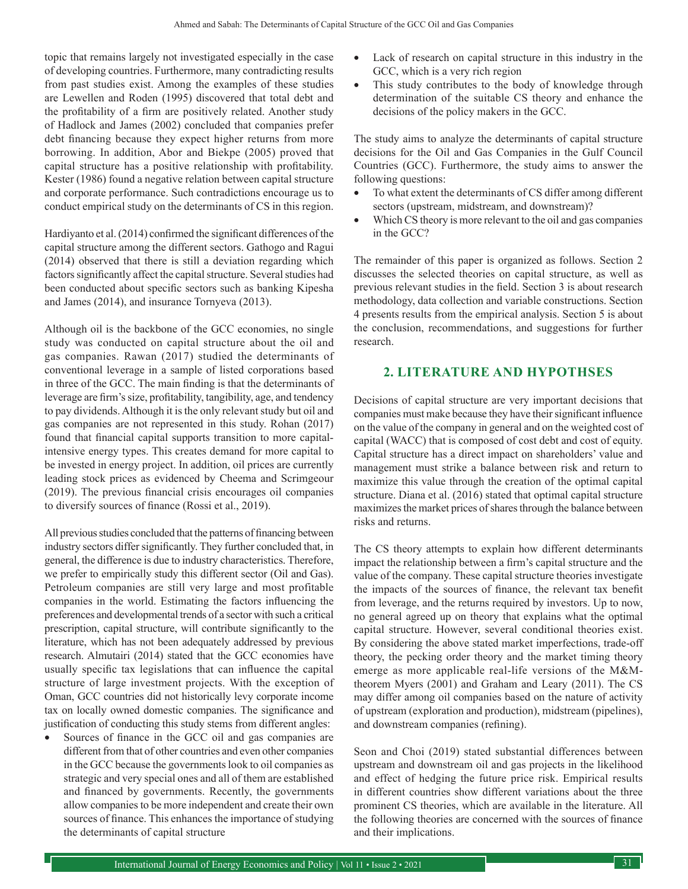topic that remains largely not investigated especially in the case of developing countries. Furthermore, many contradicting results from past studies exist. Among the examples of these studies are Lewellen and Roden (1995) discovered that total debt and the profitability of a firm are positively related. Another study of Hadlock and James (2002) concluded that companies prefer debt financing because they expect higher returns from more borrowing. In addition, Abor and Biekpe (2005) proved that capital structure has a positive relationship with profitability. Kester (1986) found a negative relation between capital structure and corporate performance. Such contradictions encourage us to conduct empirical study on the determinants of CS in this region.

Hardiyanto et al. (2014) confirmed the significant differences of the capital structure among the different sectors. Gathogo and Ragui (2014) observed that there is still a deviation regarding which factors significantly affect the capital structure. Several studies had been conducted about specific sectors such as banking Kipesha and James (2014), and insurance Tornyeva (2013).

Although oil is the backbone of the GCC economies, no single study was conducted on capital structure about the oil and gas companies. Rawan (2017) studied the determinants of conventional leverage in a sample of listed corporations based in three of the GCC. The main finding is that the determinants of leverage are firm's size, profitability, tangibility, age, and tendency to pay dividends. Although it is the only relevant study but oil and gas companies are not represented in this study. Rohan (2017) found that financial capital supports transition to more capitalintensive energy types. This creates demand for more capital to be invested in energy project. In addition, oil prices are currently leading stock prices as evidenced by Cheema and Scrimgeour (2019). The previous financial crisis encourages oil companies to diversify sources of finance (Rossi et al., 2019).

All previous studies concluded that the patterns of financing between industry sectors differ significantly. They further concluded that, in general, the difference is due to industry characteristics. Therefore, we prefer to empirically study this different sector (Oil and Gas). Petroleum companies are still very large and most profitable companies in the world. Estimating the factors influencing the preferences and developmental trends of a sector with such a critical prescription, capital structure, will contribute significantly to the literature, which has not been adequately addressed by previous research. Almutairi (2014) stated that the GCC economies have usually specific tax legislations that can influence the capital structure of large investment projects. With the exception of Oman, GCC countries did not historically levy corporate income tax on locally owned domestic companies. The significance and justification of conducting this study stems from different angles:

Sources of finance in the GCC oil and gas companies are different from that of other countries and even other companies in the GCC because the governments look to oil companies as strategic and very special ones and all of them are established and financed by governments. Recently, the governments allow companies to be more independent and create their own sources of finance. This enhances the importance of studying the determinants of capital structure

- Lack of research on capital structure in this industry in the GCC, which is a very rich region
- This study contributes to the body of knowledge through determination of the suitable CS theory and enhance the decisions of the policy makers in the GCC.

The study aims to analyze the determinants of capital structure decisions for the Oil and Gas Companies in the Gulf Council Countries (GCC). Furthermore, the study aims to answer the following questions:

- To what extent the determinants of CS differ among different sectors (upstream, midstream, and downstream)?
- Which CS theory is more relevant to the oil and gas companies in the GCC?

The remainder of this paper is organized as follows. Section 2 discusses the selected theories on capital structure, as well as previous relevant studies in the field. Section 3 is about research methodology, data collection and variable constructions. Section 4 presents results from the empirical analysis. Section 5 is about the conclusion, recommendations, and suggestions for further research.

# **2. LITERATURE AND HYPOTHSES**

Decisions of capital structure are very important decisions that companies must make because they have their significant influence on the value of the company in general and on the weighted cost of capital (WACC) that is composed of cost debt and cost of equity. Capital structure has a direct impact on shareholders' value and management must strike a balance between risk and return to maximize this value through the creation of the optimal capital structure. Diana et al. (2016) stated that optimal capital structure maximizes the market prices of shares through the balance between risks and returns.

The CS theory attempts to explain how different determinants impact the relationship between a firm's capital structure and the value of the company. These capital structure theories investigate the impacts of the sources of finance, the relevant tax benefit from leverage, and the returns required by investors. Up to now, no general agreed up on theory that explains what the optimal capital structure. However, several conditional theories exist. By considering the above stated market imperfections, trade-off theory, the pecking order theory and the market timing theory emerge as more applicable real-life versions of the M&Mtheorem Myers (2001) and Graham and Leary (2011). The CS may differ among oil companies based on the nature of activity of upstream (exploration and production), midstream (pipelines), and downstream companies (refining).

Seon and Choi (2019) stated substantial differences between upstream and downstream oil and gas projects in the likelihood and effect of hedging the future price risk. Empirical results in different countries show different variations about the three prominent CS theories, which are available in the literature. All the following theories are concerned with the sources of finance and their implications.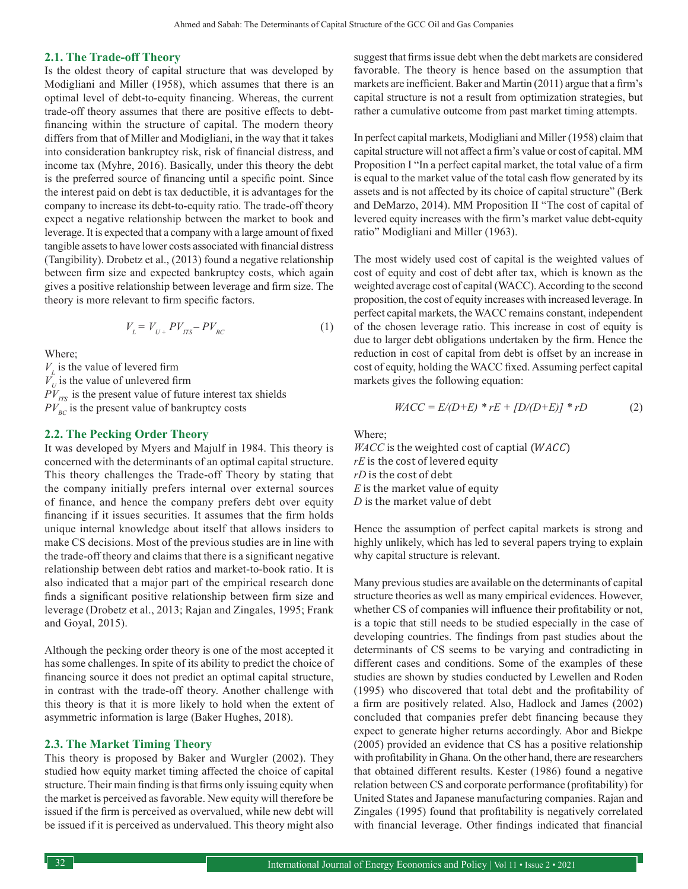#### **2.1. The Trade-off Theory**

Is the oldest theory of capital structure that was developed by Modigliani and Miller (1958), which assumes that there is an optimal level of debt-to-equity financing. Whereas, the current trade-off theory assumes that there are positive effects to debtfinancing within the structure of capital. The modern theory differs from that of Miller and Modigliani, in the way that it takes into consideration bankruptcy risk, risk of financial distress, and income tax (Myhre, 2016). Basically, under this theory the debt is the preferred source of financing until a specific point. Since the interest paid on debt is tax deductible, it is advantages for the company to increase its debt-to-equity ratio. The trade-off theory expect a negative relationship between the market to book and leverage. It is expected that a company with a large amount of fixed tangible assets to have lower costs associated with financial distress (Tangibility). Drobetz et al., (2013) found a negative relationship between firm size and expected bankruptcy costs, which again gives a positive relationship between leverage and firm size. The theory is more relevant to firm specific factors.

$$
V_{L} = V_{U+} PV_{ITS} - PV_{BC} \tag{1}
$$

Where;

 $V_L$  is the value of levered firm  $V_U$  is the value of unlevered firm  $PV_{\text{ITS}}$  is the present value of future interest tax shields  $PV_{BC}$  is the present value of bankruptcy costs

#### **2.2. The Pecking Order Theory**

It was developed by Myers and Majulf in 1984. This theory is concerned with the determinants of an optimal capital structure. This theory challenges the Trade-off Theory by stating that the company initially prefers internal over external sources of finance, and hence the company prefers debt over equity financing if it issues securities. It assumes that the firm holds unique internal knowledge about itself that allows insiders to make CS decisions. Most of the previous studies are in line with the trade-off theory and claims that there is a significant negative relationship between debt ratios and market-to-book ratio. It is also indicated that a major part of the empirical research done finds a significant positive relationship between firm size and leverage (Drobetz et al., 2013; Rajan and Zingales, 1995; Frank and Goyal, 2015).

Although the pecking order theory is one of the most accepted it has some challenges. In spite of its ability to predict the choice of financing source it does not predict an optimal capital structure, in contrast with the trade-off theory. Another challenge with this theory is that it is more likely to hold when the extent of asymmetric information is large (Baker Hughes, 2018).

#### **2.3. The Market Timing Theory**

This theory is proposed by Baker and Wurgler (2002). They studied how equity market timing affected the choice of capital structure. Their main finding is that firms only issuing equity when the market is perceived as favorable. New equity will therefore be issued if the firm is perceived as overvalued, while new debt will be issued if it is perceived as undervalued. This theory might also suggest that firms issue debt when the debt markets are considered favorable. The theory is hence based on the assumption that markets are inefficient. Baker and Martin (2011) argue that a firm's capital structure is not a result from optimization strategies, but rather a cumulative outcome from past market timing attempts.

In perfect capital markets, Modigliani and Miller (1958) claim that capital structure will not affect a firm's value or cost of capital. MM Proposition I "In a perfect capital market, the total value of a firm is equal to the market value of the total cash flow generated by its assets and is not affected by its choice of capital structure" (Berk and DeMarzo, 2014). MM Proposition II "The cost of capital of levered equity increases with the firm's market value debt-equity ratio" Modigliani and Miller (1963).

The most widely used cost of capital is the weighted values of cost of equity and cost of debt after tax, which is known as the weighted average cost of capital (WACC). According to the second proposition, the cost of equity increases with increased leverage. In perfect capital markets, the WACC remains constant, independent of the chosen leverage ratio. This increase in cost of equity is due to larger debt obligations undertaken by the firm. Hence the reduction in cost of capital from debt is offset by an increase in cost of equity, holding the WACC fixed. Assuming perfect capital markets gives the following equation:

$$
WACC = E/(D+E) * rE + [D/(D+E)] * rD \tag{2}
$$

Where;

 $WACC$  is the weighted cost of captial ( $WACC$ ) *rE* is the cost of levered equity *rD* is the cost of debt *E* is the market value of equity *D* is the market value of debt

Hence the assumption of perfect capital markets is strong and highly unlikely, which has led to several papers trying to explain why capital structure is relevant.

Many previous studies are available on the determinants of capital structure theories as well as many empirical evidences. However, whether CS of companies will influence their profitability or not, is a topic that still needs to be studied especially in the case of developing countries. The findings from past studies about the determinants of CS seems to be varying and contradicting in different cases and conditions. Some of the examples of these studies are shown by studies conducted by Lewellen and Roden (1995) who discovered that total debt and the profitability of a firm are positively related. Also, Hadlock and James (2002) concluded that companies prefer debt financing because they expect to generate higher returns accordingly. Abor and Biekpe (2005) provided an evidence that CS has a positive relationship with profitability in Ghana. On the other hand, there are researchers that obtained different results. Kester (1986) found a negative relation between CS and corporate performance (profitability) for United States and Japanese manufacturing companies. Rajan and Zingales (1995) found that profitability is negatively correlated with financial leverage. Other findings indicated that financial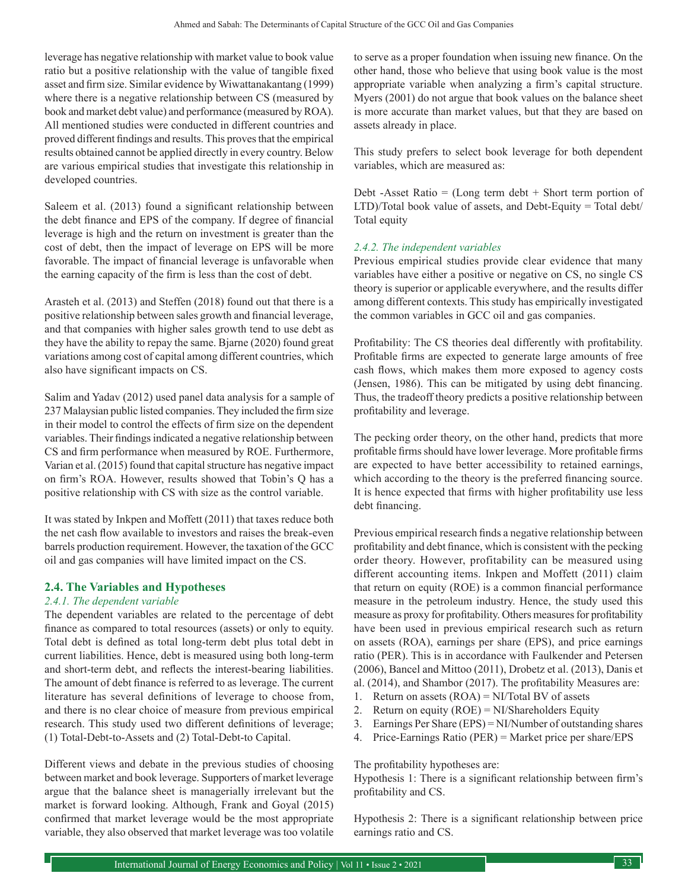leverage has negative relationship with market value to book value ratio but a positive relationship with the value of tangible fixed asset and firm size. Similar evidence by Wiwattanakantang (1999) where there is a negative relationship between CS (measured by book and market debt value) and performance (measured by ROA). All mentioned studies were conducted in different countries and proved different findings and results. This proves that the empirical results obtained cannot be applied directly in every country. Below are various empirical studies that investigate this relationship in developed countries.

Saleem et al. (2013) found a significant relationship between the debt finance and EPS of the company. If degree of financial leverage is high and the return on investment is greater than the cost of debt, then the impact of leverage on EPS will be more favorable. The impact of financial leverage is unfavorable when the earning capacity of the firm is less than the cost of debt.

Arasteh et al. (2013) and Steffen (2018) found out that there is a positive relationship between sales growth and financial leverage, and that companies with higher sales growth tend to use debt as they have the ability to repay the same. Bjarne (2020) found great variations among cost of capital among different countries, which also have significant impacts on CS.

Salim and Yadav (2012) used panel data analysis for a sample of 237 Malaysian public listed companies. They included the firm size in their model to control the effects of firm size on the dependent variables. Their findings indicated a negative relationship between CS and firm performance when measured by ROE. Furthermore, Varian et al. (2015) found that capital structure has negative impact on firm's ROA. However, results showed that Tobin's Q has a positive relationship with CS with size as the control variable.

It was stated by Inkpen and Moffett (2011) that taxes reduce both the net cash flow available to investors and raises the break-even barrels production requirement. However, the taxation of the GCC oil and gas companies will have limited impact on the CS.

## **2.4. The Variables and Hypotheses**

#### *2.4.1. The dependent variable*

The dependent variables are related to the percentage of debt finance as compared to total resources (assets) or only to equity. Total debt is defined as total long-term debt plus total debt in current liabilities. Hence, debt is measured using both long-term and short-term debt, and reflects the interest-bearing liabilities. The amount of debt finance is referred to as leverage. The current literature has several definitions of leverage to choose from, and there is no clear choice of measure from previous empirical research. This study used two different definitions of leverage; (1) Total-Debt-to-Assets and (2) Total-Debt-to Capital.

Different views and debate in the previous studies of choosing between market and book leverage. Supporters of market leverage argue that the balance sheet is managerially irrelevant but the market is forward looking. Although, Frank and Goyal (2015) confirmed that market leverage would be the most appropriate variable, they also observed that market leverage was too volatile to serve as a proper foundation when issuing new finance. On the other hand, those who believe that using book value is the most appropriate variable when analyzing a firm's capital structure. Myers (2001) do not argue that book values on the balance sheet is more accurate than market values, but that they are based on assets already in place.

This study prefers to select book leverage for both dependent variables, which are measured as:

Debt -Asset Ratio  $=$  (Long term debt  $+$  Short term portion of LTD)/Total book value of assets, and Debt-Equity = Total debt/ Total equity

## *2.4.2. The independent variables*

Previous empirical studies provide clear evidence that many variables have either a positive or negative on CS, no single CS theory is superior or applicable everywhere, and the results differ among different contexts. This study has empirically investigated the common variables in GCC oil and gas companies.

Profitability: The CS theories deal differently with profitability. Profitable firms are expected to generate large amounts of free cash flows, which makes them more exposed to agency costs (Jensen, 1986). This can be mitigated by using debt financing. Thus, the tradeoff theory predicts a positive relationship between profitability and leverage.

The pecking order theory, on the other hand, predicts that more profitable firms should have lower leverage. More profitable firms are expected to have better accessibility to retained earnings, which according to the theory is the preferred financing source. It is hence expected that firms with higher profitability use less debt financing.

Previous empirical research finds a negative relationship between profitability and debt finance, which is consistent with the pecking order theory. However, profitability can be measured using different accounting items. Inkpen and Moffett (2011) claim that return on equity (ROE) is a common financial performance measure in the petroleum industry. Hence, the study used this measure as proxy for profitability. Others measures for profitability have been used in previous empirical research such as return on assets (ROA), earnings per share (EPS), and price earnings ratio (PER). This is in accordance with Faulkender and Petersen (2006), Bancel and Mittoo (2011), Drobetz et al. (2013), Danis et al. (2014), and Shambor (2017). The profitability Measures are:

- 1. Return on assets  $(ROA) = NI/Total BV$  of assets
- 2. Return on equity (ROE) = NI/Shareholders Equity
- 3. Earnings Per Share (EPS) = NI/Number of outstanding shares
- 4. Price-Earnings Ratio (PER) = Market price per share/EPS

The profitability hypotheses are:

Hypothesis 1: There is a significant relationship between firm's profitability and CS.

Hypothesis 2: There is a significant relationship between price earnings ratio and CS.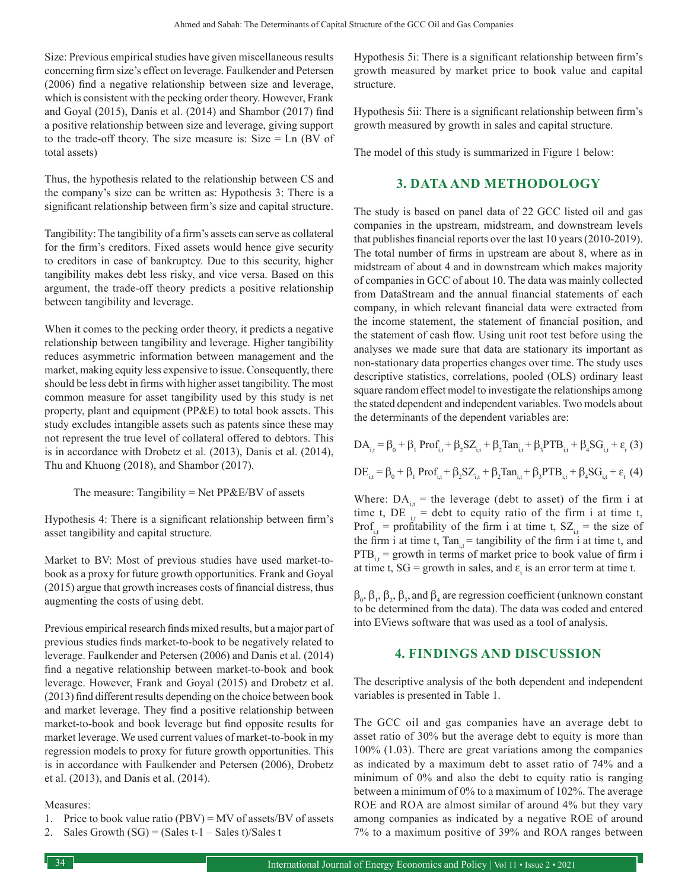Size: Previous empirical studies have given miscellaneous results concerning firm size's effect on leverage. Faulkender and Petersen (2006) find a negative relationship between size and leverage, which is consistent with the pecking order theory. However, Frank and Goyal (2015), Danis et al. (2014) and Shambor (2017) find a positive relationship between size and leverage, giving support to the trade-off theory. The size measure is: Size = Ln (BV of total assets)

Thus, the hypothesis related to the relationship between CS and the company's size can be written as: Hypothesis 3: There is a significant relationship between firm's size and capital structure.

Tangibility: The tangibility of a firm's assets can serve as collateral for the firm's creditors. Fixed assets would hence give security to creditors in case of bankruptcy. Due to this security, higher tangibility makes debt less risky, and vice versa. Based on this argument, the trade-off theory predicts a positive relationship between tangibility and leverage.

When it comes to the pecking order theory, it predicts a negative relationship between tangibility and leverage. Higher tangibility reduces asymmetric information between management and the market, making equity less expensive to issue. Consequently, there should be less debt in firms with higher asset tangibility. The most common measure for asset tangibility used by this study is net property, plant and equipment (PP&E) to total book assets. This study excludes intangible assets such as patents since these may not represent the true level of collateral offered to debtors. This is in accordance with Drobetz et al. (2013), Danis et al. (2014), Thu and Khuong (2018), and Shambor (2017).

The measure: Tangibility = Net  $PP&E/BV$  of assets

Hypothesis 4: There is a significant relationship between firm's asset tangibility and capital structure.

Market to BV: Most of previous studies have used market-tobook as a proxy for future growth opportunities. Frank and Goyal (2015) argue that growth increases costs of financial distress, thus augmenting the costs of using debt.

Previous empirical research finds mixed results, but a major part of previous studies finds market-to-book to be negatively related to leverage. Faulkender and Petersen (2006) and Danis et al. (2014) find a negative relationship between market-to-book and book leverage. However, Frank and Goyal (2015) and Drobetz et al. (2013) find different results depending on the choice between book and market leverage. They find a positive relationship between market-to-book and book leverage but find opposite results for market leverage. We used current values of market-to-book in my regression models to proxy for future growth opportunities. This is in accordance with Faulkender and Petersen (2006), Drobetz et al. (2013), and Danis et al. (2014).

#### Measures:

- 1. Price to book value ratio (PBV) = MV of assets/BV of assets
- Sales Growth  $(SG) = (Sales t-1 Sales t)/Sales t$

Hypothesis 5i: There is a significant relationship between firm's growth measured by market price to book value and capital structure.

Hypothesis 5ii: There is a significant relationship between firm's growth measured by growth in sales and capital structure.

The model of this study is summarized in Figure 1 below:

# **3. DATA AND METHODOLOGY**

The study is based on panel data of 22 GCC listed oil and gas companies in the upstream, midstream, and downstream levels that publishes financial reports over the last 10 years (2010-2019). The total number of firms in upstream are about 8, where as in midstream of about 4 and in downstream which makes majority of companies in GCC of about 10. The data was mainly collected from DataStream and the annual financial statements of each company, in which relevant financial data were extracted from the income statement, the statement of financial position, and the statement of cash flow. Using unit root test before using the analyses we made sure that data are stationary its important as non-stationary data properties changes over time. The study uses descriptive statistics, correlations, pooled (OLS) ordinary least square random effect model to investigate the relationships among the stated dependent and independent variables. Two models about the determinants of the dependent variables are:

$$
DA_{i,t} = \beta_0 + \beta_1 \text{Prof}_{i,t} + \beta_2 SZ_{i,t} + \beta_2 \text{Tan}_{i,t} + \beta_3 \text{PTB}_{i,t} + \beta_4 SG_{i,t} + \varepsilon_t (3)
$$
  

$$
DE_{i,t} = \beta_0 + \beta_1 \text{ Prof}_{i,t} + \beta_2 SZ_{i,t} + \beta_2 \text{Tan}_{i,t} + \beta_3 \text{PTB}_{i,t} + \beta_4 SG_{i,t} + \varepsilon_t (4)
$$

Where:  $DA_{i,t}$  = the leverage (debt to asset) of the firm i at time t, DE  $_{i,t}$  = debt to equity ratio of the firm i at time t, Prof<sub>i</sub> = profitability of the firm i at time t,  $SZ_{it}$  = the size of the firm i at time t,  $Tan_{it} = tangibility$  of the firm i at time t, and  $PTB<sub>i,t</sub>$  = growth in terms of market price to book value of firm i at time t,  $SG =$  growth in sales, and  $\varepsilon_t$  is an error term at time t.

 $\beta_0$ ,  $\beta_1$ ,  $\beta_2$ ,  $\beta_3$ , and  $\beta_4$  are regression coefficient (unknown constant to be determined from the data). The data was coded and entered into EViews software that was used as a tool of analysis.

## **4. FINDINGS AND DISCUSSION**

The descriptive analysis of the both dependent and independent variables is presented in Table 1.

The GCC oil and gas companies have an average debt to asset ratio of 30% but the average debt to equity is more than 100% (1.03). There are great variations among the companies as indicated by a maximum debt to asset ratio of 74% and a minimum of 0% and also the debt to equity ratio is ranging between a minimum of 0% to a maximum of 102%. The average ROE and ROA are almost similar of around 4% but they vary among companies as indicated by a negative ROE of around 7% to a maximum positive of 39% and ROA ranges between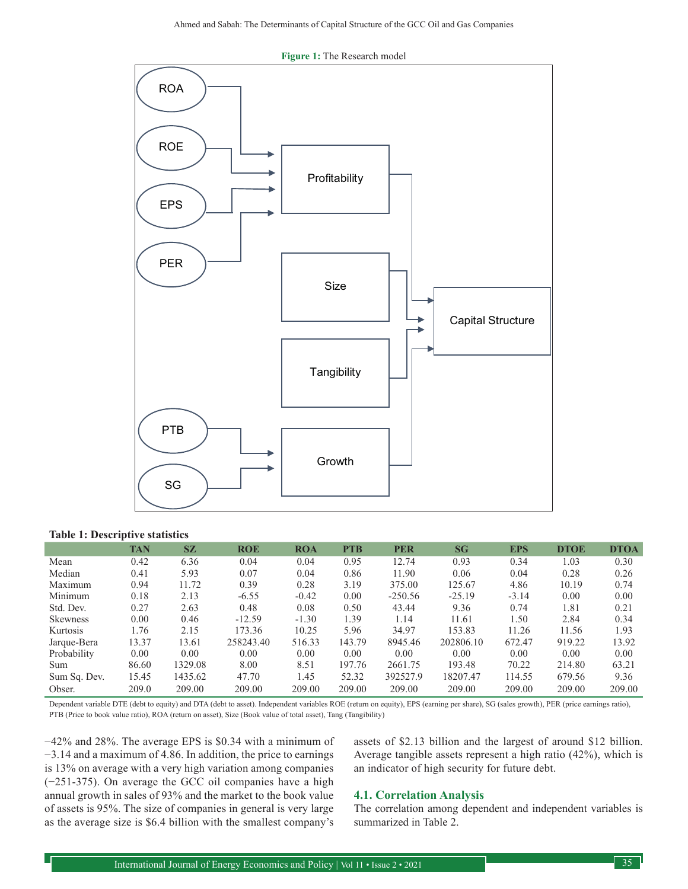

#### **Figure 1:** The Research model

#### **Table 1: Descriptive statistics**

|              | <b>TAN</b> | <b>SZ</b> | <b>ROE</b> | <b>ROA</b> | <b>PTB</b> | <b>PER</b> | SG        | <b>EPS</b> | <b>DTOE</b> | <b>DTOA</b> |
|--------------|------------|-----------|------------|------------|------------|------------|-----------|------------|-------------|-------------|
| Mean         | 0.42       | 6.36      | 0.04       | 0.04       | 0.95       | 12.74      | 0.93      | 0.34       | 1.03        | 0.30        |
| Median       | 0.41       | 5.93      | 0.07       | 0.04       | 0.86       | 11.90      | 0.06      | 0.04       | 0.28        | 0.26        |
| Maximum      | 0.94       | 11.72     | 0.39       | 0.28       | 3.19       | 375.00     | 125.67    | 4.86       | 10.19       | 0.74        |
| Minimum      | 0.18       | 2.13      | $-6.55$    | $-0.42$    | 0.00       | $-250.56$  | $-25.19$  | $-3.14$    | 0.00        | 0.00        |
| Std. Dev.    | 0.27       | 2.63      | 0.48       | 0.08       | 0.50       | 43.44      | 9.36      | 0.74       | 1.81        | 0.21        |
| Skewness     | 0.00       | 0.46      | $-12.59$   | $-1.30$    | 1.39       | 1.14       | 11.61     | 1.50       | 2.84        | 0.34        |
| Kurtosis     | 1.76       | 2.15      | 173.36     | 10.25      | 5.96       | 34.97      | 153.83    | 11.26      | 11.56       | 1.93        |
| Jarque-Bera  | 13.37      | 13.61     | 258243.40  | 516.33     | 143.79     | 8945.46    | 202806.10 | 672.47     | 919.22      | 13.92       |
| Probability  | 0.00       | 0.00      | 0.00       | 0.00       | 0.00       | 0.00       | 0.00      | 0.00       | 0.00        | 0.00        |
| Sum          | 86.60      | 1329.08   | 8.00       | 8.51       | 197.76     | 2661.75    | 193.48    | 70.22      | 214.80      | 63.21       |
| Sum Sq. Dev. | 15.45      | 1435.62   | 47.70      | 1.45       | 52.32      | 392527.9   | 18207.47  | 114.55     | 679.56      | 9.36        |
| Obser.       | 209.0      | 209.00    | 209.00     | 209.00     | 209.00     | 209.00     | 209.00    | 209.00     | 209.00      | 209.00      |

Dependent variable DTE (debt to equity) and DTA (debt to asset). Independent variables ROE (return on equity), EPS (earning per share), SG (sales growth), PER (price earnings ratio), PTB (Price to book value ratio), ROA (return on asset), Size (Book value of total asset), Tang (Tangibility)

−42% and 28%. The average EPS is \$0.34 with a minimum of −3.14 and a maximum of 4.86. In addition, the price to earnings is 13% on average with a very high variation among companies (−251-375). On average the GCC oil companies have a high annual growth in sales of 93% and the market to the book value of assets is 95%. The size of companies in general is very large as the average size is \$6.4 billion with the smallest company's

assets of \$2.13 billion and the largest of around \$12 billion. Average tangible assets represent a high ratio (42%), which is an indicator of high security for future debt.

#### **4.1. Correlation Analysis**

The correlation among dependent and independent variables is summarized in Table 2.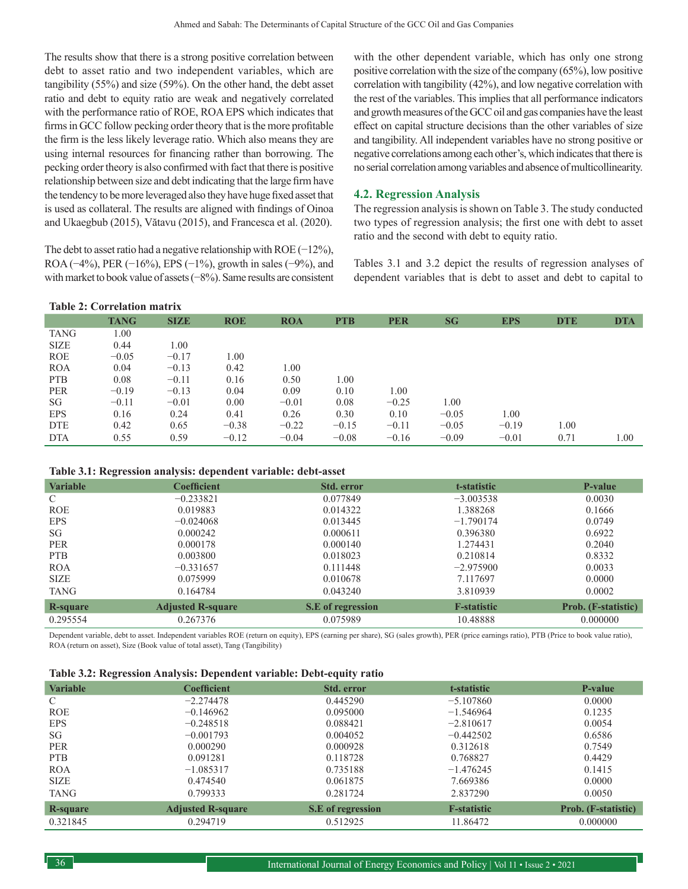The results show that there is a strong positive correlation between debt to asset ratio and two independent variables, which are tangibility (55%) and size (59%). On the other hand, the debt asset ratio and debt to equity ratio are weak and negatively correlated with the performance ratio of ROE, ROA EPS which indicates that firms in GCC follow pecking order theory that is the more profitable the firm is the less likely leverage ratio. Which also means they are using internal resources for financing rather than borrowing. The pecking order theory is also confirmed with fact that there is positive relationship between size and debt indicating that the large firm have the tendency to be more leveraged also they have huge fixed asset that is used as collateral. The results are aligned with findings of Oinoa and Ukaegbub (2015), Vătavu (2015), and Francesca et al. (2020).

The debt to asset ratio had a negative relationship with ROE (−12%), ROA ( $-4\%$ ), PER ( $-16\%$ ), EPS ( $-1\%$ ), growth in sales ( $-9\%$ ), and with market to book value of assets (−8%). Same results are consistent with the other dependent variable, which has only one strong positive correlation with the size of the company (65%), low positive correlation with tangibility (42%), and low negative correlation with the rest of the variables. This implies that all performance indicators and growth measures of the GCC oil and gas companies have the least effect on capital structure decisions than the other variables of size and tangibility. All independent variables have no strong positive or negative correlations among each other's, which indicates that there is no serial correlation among variables and absence of multicollinearity.

## **4.2. Regression Analysis**

The regression analysis is shown on Table 3. The study conducted two types of regression analysis; the first one with debt to asset ratio and the second with debt to equity ratio.

Tables 3.1 and 3.2 depict the results of regression analyses of dependent variables that is debt to asset and debt to capital to

| <b>Table 2: Correlation matrix</b> |             |             |            |            |            |            |         |            |            |            |
|------------------------------------|-------------|-------------|------------|------------|------------|------------|---------|------------|------------|------------|
|                                    | <b>TANG</b> | <b>SIZE</b> | <b>ROE</b> | <b>ROA</b> | <b>PTB</b> | <b>PER</b> | SG      | <b>EPS</b> | <b>DTE</b> | <b>DTA</b> |
| <b>TANG</b>                        | 1.00        |             |            |            |            |            |         |            |            |            |
| <b>SIZE</b>                        | 0.44        | 1.00        |            |            |            |            |         |            |            |            |
| <b>ROE</b>                         | $-0.05$     | $-0.17$     | 1.00       |            |            |            |         |            |            |            |
| <b>ROA</b>                         | 0.04        | $-0.13$     | 0.42       | 1.00       |            |            |         |            |            |            |
| <b>PTB</b>                         | 0.08        | $-0.11$     | 0.16       | 0.50       | 1.00       |            |         |            |            |            |
| <b>PER</b>                         | $-0.19$     | $-0.13$     | 0.04       | 0.09       | 0.10       | 1.00       |         |            |            |            |
| SG                                 | $-0.11$     | $-0.01$     | 0.00       | $-0.01$    | 0.08       | $-0.25$    | 1.00    |            |            |            |
| <b>EPS</b>                         | 0.16        | 0.24        | 0.41       | 0.26       | 0.30       | 0.10       | $-0.05$ | 1.00       |            |            |
| <b>DTE</b>                         | 0.42        | 0.65        | $-0.38$    | $-0.22$    | $-0.15$    | $-0.11$    | $-0.05$ | $-0.19$    | 1.00       |            |
| <b>DTA</b>                         | 0.55        | 0.59        | $-0.12$    | $-0.04$    | $-0.08$    | $-0.16$    | $-0.09$ | $-0.01$    | 0.71       | 0.1        |

**Table 3.1: Regression analysis: dependent variable: debt-asset**

| <b>Variable</b> | <b>Coefficient</b>       | <b>Std. error</b> | t-statistic        | P-value                    |
|-----------------|--------------------------|-------------------|--------------------|----------------------------|
| C               | $-0.233821$              | 0.077849          | $-3.003538$        | 0.0030                     |
| <b>ROE</b>      | 0.019883                 | 0.014322          | 1.388268           | 0.1666                     |
| <b>EPS</b>      | $-0.024068$              | 0.013445          | $-1.790174$        | 0.0749                     |
| SG              | 0.000242                 | 0.000611          | 0.396380           | 0.6922                     |
| <b>PER</b>      | 0.000178                 | 0.000140          | 1.274431           | 0.2040                     |
| <b>PTB</b>      | 0.003800                 | 0.018023          | 0.210814           | 0.8332                     |
| <b>ROA</b>      | $-0.331657$              | 0.111448          | $-2.975900$        | 0.0033                     |
| <b>SIZE</b>     | 0.075999                 | 0.010678          | 7.117697           | 0.0000                     |
| <b>TANG</b>     | 0.164784                 | 0.043240          | 3.810939           | 0.0002                     |
| R-square        | <b>Adjusted R-square</b> | S.E of regression | <b>F-statistic</b> | <b>Prob.</b> (F-statistic) |
| 0.295554        | 0.267376                 | 0.075989          | 10.48888           | 0.000000                   |

Dependent variable, debt to asset. Independent variables ROE (return on equity), EPS (earning per share), SG (sales growth), PER (price earnings ratio), PTB (Price to book value ratio), ROA (return on asset), Size (Book value of total asset), Tang (Tangibility)

| Table 3.2: Regression Analysis: Dependent variable: Debt-equity ratio |  |  |
|-----------------------------------------------------------------------|--|--|
|                                                                       |  |  |

| <b>Variable</b> | $\cdot$<br><b>Coefficient</b> | Std. error        | t-statistic         | <b>P-value</b>             |
|-----------------|-------------------------------|-------------------|---------------------|----------------------------|
| C               | $-2.274478$                   | 0.445290          | $-5.107860$         | 0.0000                     |
| <b>ROE</b>      | $-0.146962$                   | 0.095000          | $-1.546964$         | 0.1235                     |
| <b>EPS</b>      | $-0.248518$                   | 0.088421          | $-2.810617$         | 0.0054                     |
| SG              | $-0.001793$                   | 0.004052          | $-0.442502$         | 0.6586                     |
| <b>PER</b>      | 0.000290                      | 0.000928          | 0.312618            | 0.7549                     |
| <b>PTB</b>      | 0.091281                      | 0.118728          | 0.768827            | 0.4429                     |
| <b>ROA</b>      | $-1.085317$                   | 0.735188          | $-1.476245$         | 0.1415                     |
| <b>SIZE</b>     | 0.474540                      | 0.061875          | 7.669386            | 0.0000                     |
| TANG            | 0.799333                      | 0.281724          | 2.837290            | 0.0050                     |
| <b>R-square</b> | <b>Adjusted R-square</b>      | S.E of regression | <b>F</b> -statistic | <b>Prob.</b> (F-statistic) |
| 0.321845        | 0.294719                      | 0.512925          | 11.86472            | 0.000000                   |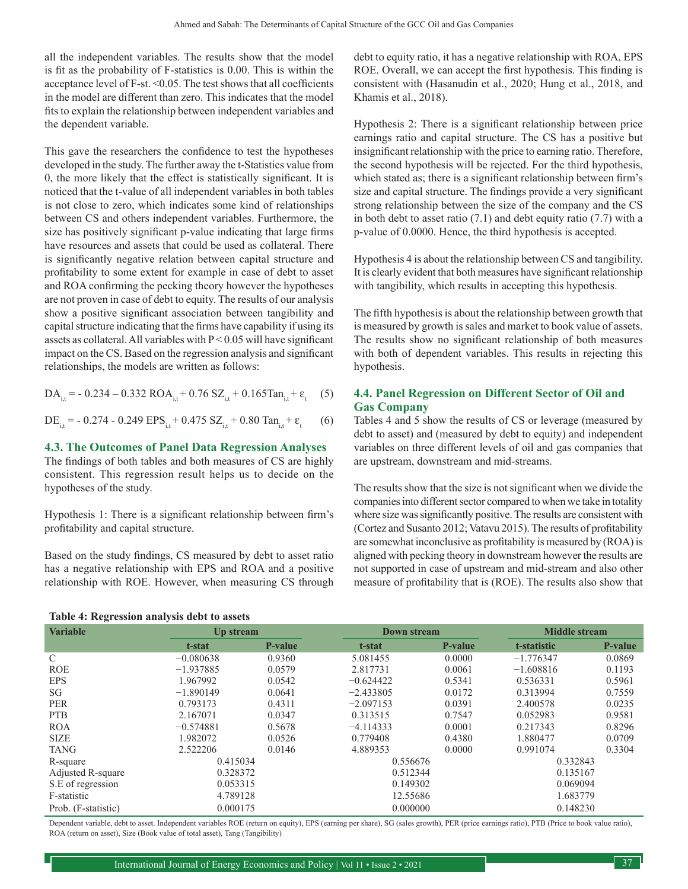all the independent variables. The results show that the model is fit as the probability of F-statistics is 0.00. This is within the acceptance level of F-st. <0.05. The test shows that all coefficients in the model are different than zero. This indicates that the model fits to explain the relationship between independent variables and the dependent variable.

This gave the researchers the confidence to test the hypotheses developed in the study. The further away the t-Statistics value from 0, the more likely that the effect is statistically significant. It is noticed that the t-value of all independent variables in both tables is not close to zero, which indicates some kind of relationships between CS and others independent variables. Furthermore, the size has positively significant p-value indicating that large firms have resources and assets that could be used as collateral. There is significantly negative relation between capital structure and profitability to some extent for example in case of debt to asset and ROA confirming the pecking theory however the hypotheses are not proven in case of debt to equity. The results of our analysis show a positive significant association between tangibility and capital structure indicating that the firms have capability if using its assets as collateral. All variables with  $P < 0.05$  will have significant impact on the CS. Based on the regression analysis and significant relationships, the models are written as follows:

$$
DA_{i,t} = -0.234 - 0.332 \text{ ROA}_{i,t} + 0.76 \text{ SZ}_{i,t} + 0.165 \text{Tan}_{i,t} + \varepsilon_t \quad (5)
$$

$$
DE_{i,t} = -0.274 - 0.249 EPS_{i,t} + 0.475 SZ_{i,t} + 0.80 Tan_{i,t} + \varepsilon_t
$$
 (6)

### **4.3. The Outcomes of Panel Data Regression Analyses**

The findings of both tables and both measures of CS are highly consistent. This regression result helps us to decide on the hypotheses of the study.

Hypothesis 1: There is a significant relationship between firm's profitability and capital structure.

Based on the study findings, CS measured by debt to asset ratio has a negative relationship with EPS and ROA and a positive relationship with ROE. However, when measuring CS through

**Table 4: Regression analysis debt to assets**

debt to equity ratio, it has a negative relationship with ROA, EPS ROE. Overall, we can accept the first hypothesis. This finding is consistent with (Hasanudin et al., 2020; Hung et al., 2018, and Khamis et al., 2018).

Hypothesis 2: There is a significant relationship between price earnings ratio and capital structure. The CS has a positive but insignificant relationship with the price to earning ratio. Therefore, the second hypothesis will be rejected. For the third hypothesis, which stated as; there is a significant relationship between firm's size and capital structure. The findings provide a very significant strong relationship between the size of the company and the CS in both debt to asset ratio (7.1) and debt equity ratio (7.7) with a p-value of 0.0000. Hence, the third hypothesis is accepted.

Hypothesis 4 is about the relationship between CS and tangibility. It is clearly evident that both measures have significant relationship with tangibility, which results in accepting this hypothesis.

The fifth hypothesis is about the relationship between growth that is measured by growth is sales and market to book value of assets. The results show no significant relationship of both measures with both of dependent variables. This results in rejecting this hypothesis.

#### **4.4. Panel Regression on Different Sector of Oil and Gas Company**

Tables 4 and 5 show the results of CS or leverage (measured by debt to asset) and (measured by debt to equity) and independent variables on three different levels of oil and gas companies that are upstream, downstream and mid-streams.

The results show that the size is not significant when we divide the companies into different sector compared to when we take in totality where size was significantly positive. The results are consistent with (Cortez and Susanto 2012; Vatavu 2015). The results of profitability are somewhat inconclusive as profitability is measured by (ROA) is aligned with pecking theory in downstream however the results are not supported in case of upstream and mid-stream and also other measure of profitability that is (ROE). The results also show that

| <b>Variable</b>     | Up stream   |                | <b>Down stream</b> |                |             | <b>Middle stream</b> |  |
|---------------------|-------------|----------------|--------------------|----------------|-------------|----------------------|--|
|                     | t-stat      | <b>P-value</b> | t-stat             | <b>P-value</b> | t-statistic | P-value              |  |
| $\mathcal{C}$       | $-0.080638$ | 0.9360         | 5.081455           | 0.0000         | $-1.776347$ | 0.0869               |  |
| <b>ROE</b>          | $-1.937885$ | 0.0579         | 2.817731           | 0.0061         | $-1.608816$ | 0.1193               |  |
| <b>EPS</b>          | 1.967992    | 0.0542         | $-0.624422$        | 0.5341         | 0.536331    | 0.5961               |  |
| SG                  | $-1.890149$ | 0.0641         | $-2.433805$        | 0.0172         | 0.313994    | 0.7559               |  |
| <b>PER</b>          | 0.793173    | 0.4311         | $-2.097153$        | 0.0391         | 2.400578    | 0.0235               |  |
| <b>PTB</b>          | 2.167071    | 0.0347         | 0.313515           | 0.7547         | 0.052983    | 0.9581               |  |
| <b>ROA</b>          | $-0.574881$ | 0.5678         | $-4.114333$        | 0.0001         | 0.217343    | 0.8296               |  |
| <b>SIZE</b>         | 1.982072    | 0.0526         | 0.779408           | 0.4380         | 1.880477    | 0.0709               |  |
| <b>TANG</b>         | 2.522206    | 0.0146         | 4.889353           | 0.0000         | 0.991074    | 0.3304               |  |
| R-square            | 0.415034    |                | 0.556676           |                | 0.332843    |                      |  |
| Adjusted R-square   | 0.328372    |                | 0.512344           |                | 0.135167    |                      |  |
| S.E of regression   | 0.053315    |                | 0.149302           |                | 0.069094    |                      |  |
| F-statistic         | 4.789128    |                | 12.55686           |                | 1.683779    |                      |  |
| Prob. (F-statistic) | 0.000175    |                | 0.000000           |                | 0.148230    |                      |  |

Dependent variable, debt to asset. Independent variables ROE (return on equity), EPS (earning per share), SG (sales growth), PER (price earnings ratio), PTB (Price to book value ratio), ROA (return on asset), Size (Book value of total asset), Tang (Tangibility)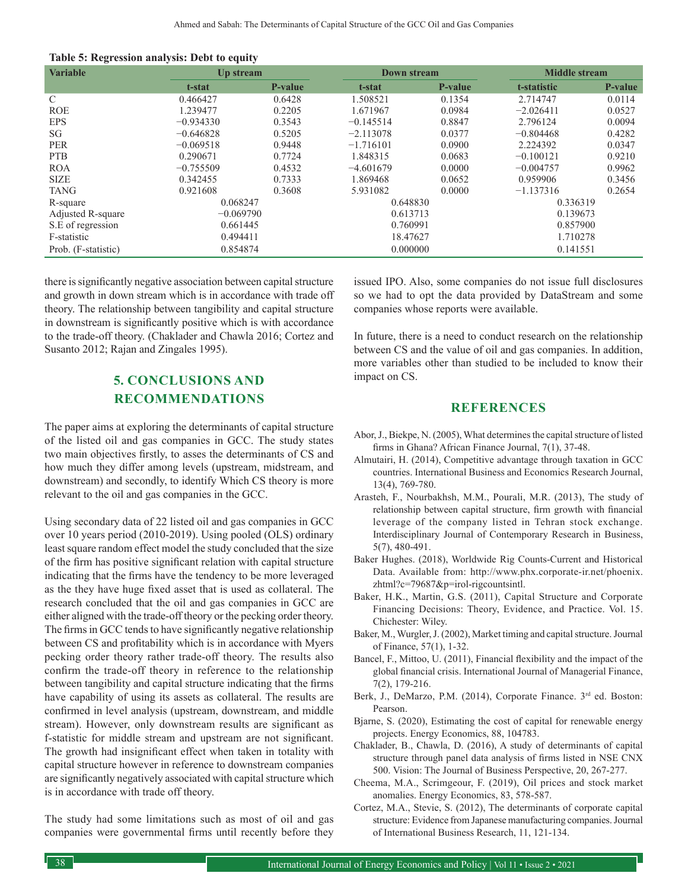| <b>Variable</b>     | Up stream   |                | <b>Down stream</b> |                |             | <b>Middle stream</b> |  |
|---------------------|-------------|----------------|--------------------|----------------|-------------|----------------------|--|
|                     | t-stat      | <b>P-value</b> | t-stat             | <b>P-value</b> | t-statistic | P-value              |  |
| $\mathcal{C}$       | 0.466427    | 0.6428         | 1.508521           | 0.1354         | 2.714747    | 0.0114               |  |
| <b>ROE</b>          | 1.239477    | 0.2205         | 1.671967           | 0.0984         | $-2.026411$ | 0.0527               |  |
| <b>EPS</b>          | $-0.934330$ | 0.3543         | $-0.145514$        | 0.8847         | 2.796124    | 0.0094               |  |
| SG                  | $-0.646828$ | 0.5205         | $-2.113078$        | 0.0377         | $-0.804468$ | 0.4282               |  |
| <b>PER</b>          | $-0.069518$ | 0.9448         | $-1.716101$        | 0.0900         | 2.224392    | 0.0347               |  |
| <b>PTB</b>          | 0.290671    | 0.7724         | 1.848315           | 0.0683         | $-0.100121$ | 0.9210               |  |
| <b>ROA</b>          | $-0.755509$ | 0.4532         | $-4.601679$        | 0.0000         | $-0.004757$ | 0.9962               |  |
| <b>SIZE</b>         | 0.342455    | 0.7333         | 1.869468           | 0.0652         | 0.959906    | 0.3456               |  |
| <b>TANG</b>         | 0.921608    | 0.3608         | 5.931082           | 0.0000         | $-1.137316$ | 0.2654               |  |
| R-square            | 0.068247    |                | 0.648830           |                | 0.336319    |                      |  |
| Adjusted R-square   | $-0.069790$ |                | 0.613713           |                | 0.139673    |                      |  |
| S.E of regression   | 0.661445    |                | 0.760991           |                | 0.857900    |                      |  |
| F-statistic         | 0.494411    |                | 18.47627           |                | 1.710278    |                      |  |
| Prob. (F-statistic) | 0.854874    |                | 0.000000           |                | 0.141551    |                      |  |

there is significantly negative association between capital structure and growth in down stream which is in accordance with trade off theory. The relationship between tangibility and capital structure in downstream is significantly positive which is with accordance to the trade-off theory. (Chaklader and Chawla 2016; Cortez and Susanto 2012; Rajan and Zingales 1995).

# **5. CONCLUSIONS AND RECOMMENDATIONS**

The paper aims at exploring the determinants of capital structure of the listed oil and gas companies in GCC. The study states two main objectives firstly, to asses the determinants of CS and how much they differ among levels (upstream, midstream, and downstream) and secondly, to identify Which CS theory is more relevant to the oil and gas companies in the GCC.

Using secondary data of 22 listed oil and gas companies in GCC over 10 years period (2010-2019). Using pooled (OLS) ordinary least square random effect model the study concluded that the size of the firm has positive significant relation with capital structure indicating that the firms have the tendency to be more leveraged as the they have huge fixed asset that is used as collateral. The research concluded that the oil and gas companies in GCC are either aligned with the trade-off theory or the pecking order theory. The firms in GCC tends to have significantly negative relationship between CS and profitability which is in accordance with Myers pecking order theory rather trade-off theory. The results also confirm the trade-off theory in reference to the relationship between tangibility and capital structure indicating that the firms have capability of using its assets as collateral. The results are confirmed in level analysis (upstream, downstream, and middle stream). However, only downstream results are significant as f-statistic for middle stream and upstream are not significant. The growth had insignificant effect when taken in totality with capital structure however in reference to downstream companies are significantly negatively associated with capital structure which is in accordance with trade off theory.

The study had some limitations such as most of oil and gas companies were governmental firms until recently before they issued IPO. Also, some companies do not issue full disclosures so we had to opt the data provided by DataStream and some companies whose reports were available.

In future, there is a need to conduct research on the relationship between CS and the value of oil and gas companies. In addition, more variables other than studied to be included to know their impact on CS.

## **REFERENCES**

- Abor, J., Biekpe, N. (2005), What determines the capital structure of listed firms in Ghana? African Finance Journal, 7(1), 37-48.
- Almutairi, H. (2014), Competitive advantage through taxation in GCC countries. International Business and Economics Research Journal, 13(4), 769-780.
- Arasteh, F., Nourbakhsh, M.M., Pourali, M.R. (2013), The study of relationship between capital structure, firm growth with financial leverage of the company listed in Tehran stock exchange. Interdisciplinary Journal of Contemporary Research in Business, 5(7), 480-491.
- Baker Hughes. (2018), Worldwide Rig Counts-Current and Historical Data. Available from: http://www.phx.corporate-ir.net/phoenix. zhtml?c=79687&p=irol-rigcountsintl.
- Baker, H.K., Martin, G.S. (2011), Capital Structure and Corporate Financing Decisions: Theory, Evidence, and Practice. Vol. 15. Chichester: Wiley.
- Baker, M., Wurgler, J. (2002), Market timing and capital structure. Journal of Finance, 57(1), 1-32.
- Bancel, F., Mittoo, U. (2011), Financial flexibility and the impact of the global financial crisis. International Journal of Managerial Finance, 7(2), 179-216.
- Berk, J., DeMarzo, P.M. (2014), Corporate Finance. 3rd ed. Boston: Pearson.
- Bjarne, S. (2020), Estimating the cost of capital for renewable energy projects. Energy Economics, 88, 104783.
- Chaklader, B., Chawla, D. (2016), A study of determinants of capital structure through panel data analysis of firms listed in NSE CNX 500. Vision: The Journal of Business Perspective, 20, 267-277.
- Cheema, M.A., Scrimgeour, F. (2019), Oil prices and stock market anomalies. Energy Economics, 83, 578-587.
- Cortez, M.A., Stevie, S. (2012), The determinants of corporate capital structure: Evidence from Japanese manufacturing companies. Journal of International Business Research, 11, 121-134.